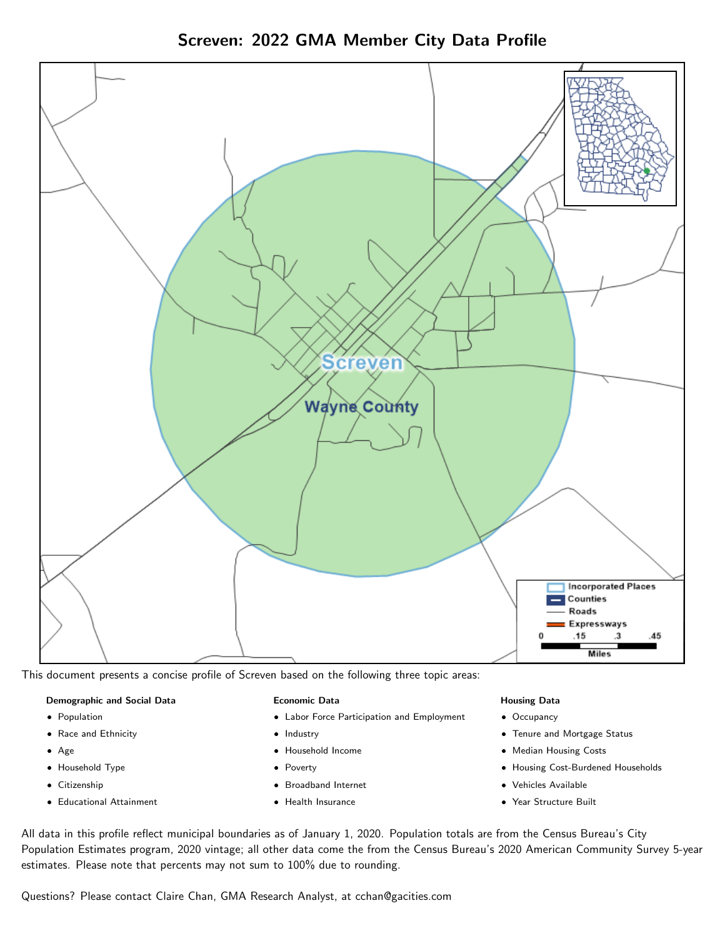Screven: 2022 GMA Member City Data Profile



This document presents a concise profile of Screven based on the following three topic areas:

### Demographic and Social Data

- **•** Population
- Race and Ethnicity
- Age
- Household Type
- **Citizenship**
- Educational Attainment

### Economic Data

- Labor Force Participation and Employment
- Industry
- Household Income
- Poverty
- Broadband Internet
- Health Insurance

### Housing Data

- Occupancy
- Tenure and Mortgage Status
- Median Housing Costs
- Housing Cost-Burdened Households
- Vehicles Available
- Year Structure Built

All data in this profile reflect municipal boundaries as of January 1, 2020. Population totals are from the Census Bureau's City Population Estimates program, 2020 vintage; all other data come the from the Census Bureau's 2020 American Community Survey 5-year estimates. Please note that percents may not sum to 100% due to rounding.

Questions? Please contact Claire Chan, GMA Research Analyst, at [cchan@gacities.com.](mailto:cchan@gacities.com)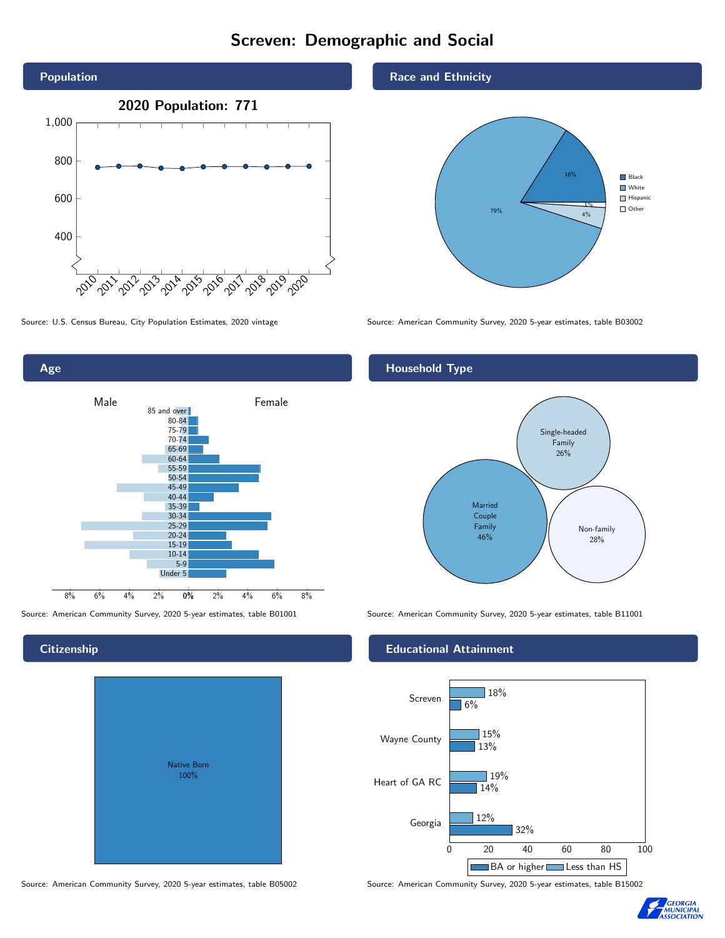## Screven: Demographic and Social





Age 0% 2% 4% 6% 8% Male **Female** 8% 6% 4% 2% 85 and over 80-84 75-79 70-74 65-69 60-64 55-59 50-54 45-49 40-44 35-39 30-34 25-29 20-24 15-19  $10-14$ 5-9 Under 5

# **Citizenship**

| <b>Native Born</b><br>100% |  |
|----------------------------|--|
|                            |  |

## Race and Ethnicity



## Household Type



Source: American Community Survey, 2020 5-year estimates, table B01001 Source: American Community Survey, 2020 5-year estimates, table B11001

## Educational Attainment



Source: American Community Survey, 2020 5-year estimates, table B05002 Source: American Community Survey, 2020 5-year estimates, table B15002

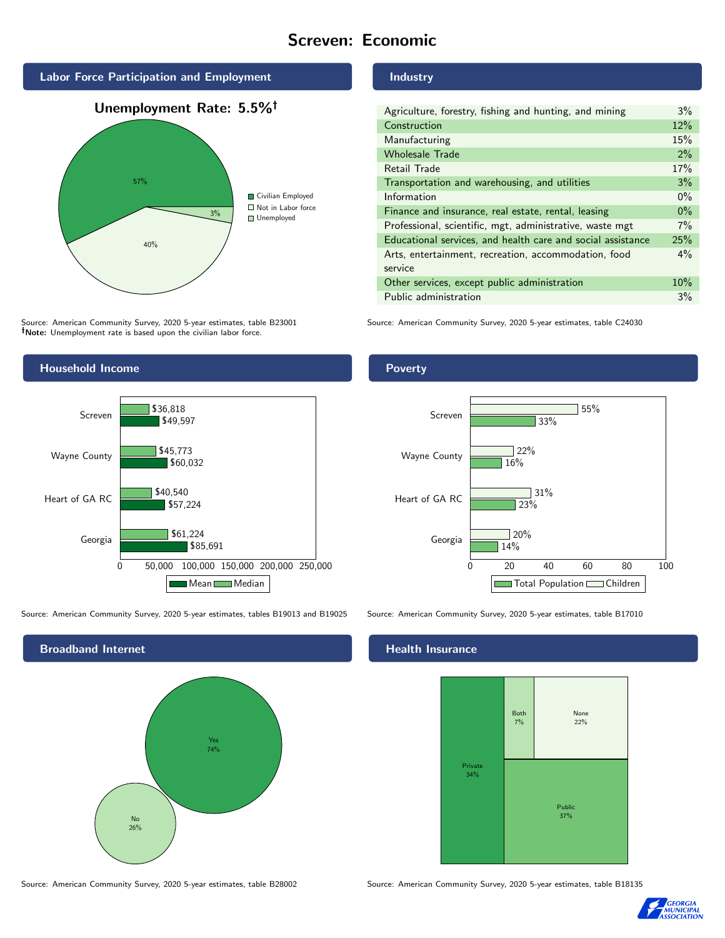## Screven: Economic



Source: American Community Survey, 2020 5-year estimates, table B23001 Note: Unemployment rate is based upon the civilian labor force.

## Industry

| Agriculture, forestry, fishing and hunting, and mining      |     |
|-------------------------------------------------------------|-----|
| Construction                                                |     |
| Manufacturing                                               |     |
| <b>Wholesale Trade</b>                                      | 2%  |
| Retail Trade                                                | 17% |
| Transportation and warehousing, and utilities               |     |
| Information                                                 |     |
| Finance and insurance, real estate, rental, leasing         |     |
| Professional, scientific, mgt, administrative, waste mgt    |     |
| Educational services, and health care and social assistance |     |
| Arts, entertainment, recreation, accommodation, food        |     |
| service                                                     |     |
| Other services, except public administration                |     |
| Public administration                                       |     |

Source: American Community Survey, 2020 5-year estimates, table C24030



Source: American Community Survey, 2020 5-year estimates, tables B19013 and B19025 Source: American Community Survey, 2020 5-year estimates, table B17010





## Health Insurance



Source: American Community Survey, 2020 5-year estimates, table B28002 Source: American Community Survey, 2020 5-year estimates, table B18135